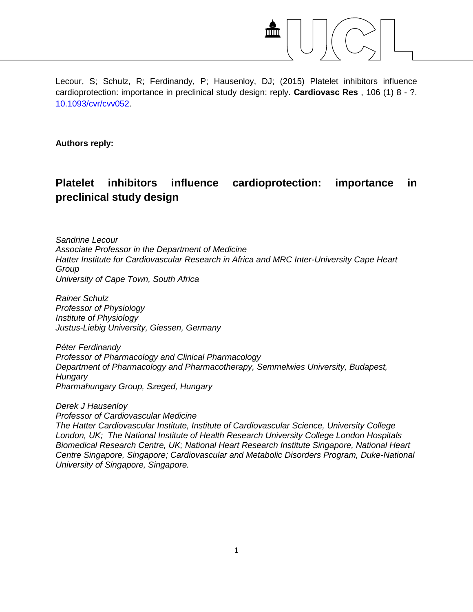

Lecour, S; Schulz, R; Ferdinandy, P; Hausenloy, DJ; (2015) Platelet inhibitors influence cardioprotection: importance in preclinical study design: reply. **Cardiovasc Res** , 106 (1) 8 - ?. [10.1093/cvr/cvv052.](http://dx.doi.org/10.1093/cvr/cvv052)

**Authors reply:**

## **Platelet inhibitors influence cardioprotection: importance in preclinical study design**

*Sandrine Lecour Associate Professor in the Department of Medicine Hatter Institute for Cardiovascular Research in Africa and MRC Inter-University Cape Heart Group University of Cape Town, South Africa*

*Rainer Schulz Professor of Physiology Institute of Physiology Justus-Liebig University, Giessen, Germany*

*Péter Ferdinandy Professor of Pharmacology and Clinical Pharmacology Department of Pharmacology and Pharmacotherapy, Semmelwies University, Budapest, Hungary Pharmahungary Group, Szeged, Hungary* 

*Derek J Hausenloy Professor of Cardiovascular Medicine The Hatter Cardiovascular Institute, Institute of Cardiovascular Science, University College London, UK; The National Institute of Health Research University College London Hospitals Biomedical Research Centre, UK; National Heart Research Institute Singapore, National Heart Centre Singapore, Singapore; Cardiovascular and Metabolic Disorders Program, Duke-National University of Singapore, Singapore.*